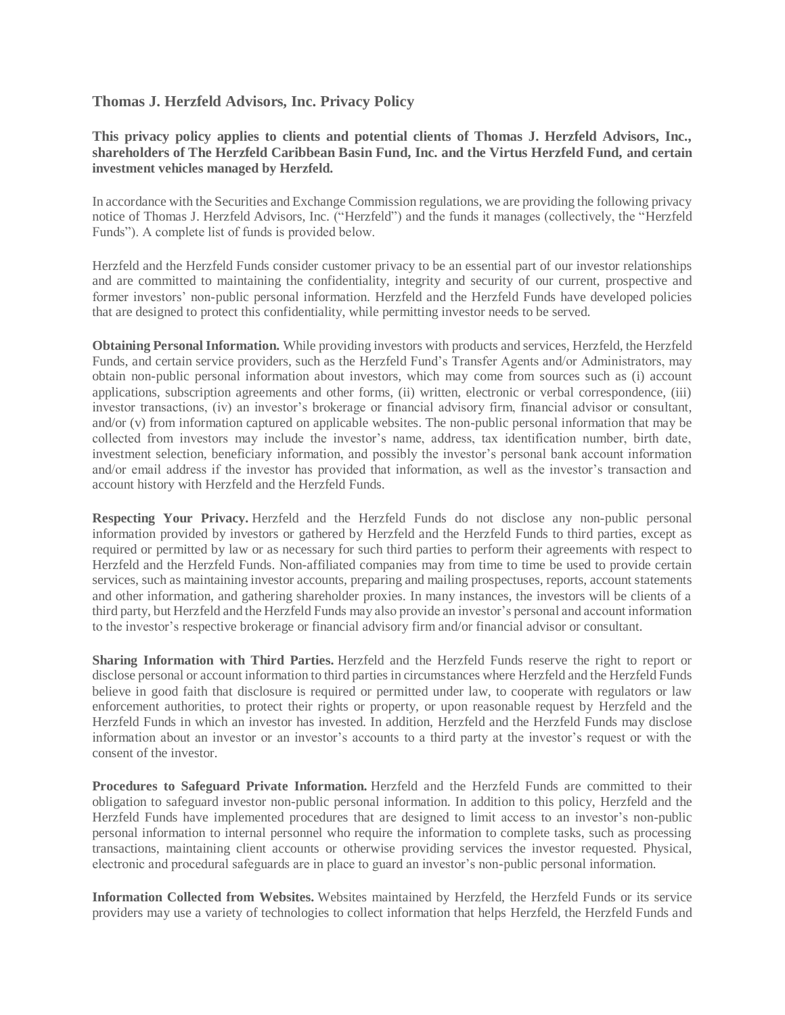## **Thomas J. Herzfeld Advisors, Inc. Privacy Policy**

## **This privacy policy applies to clients and potential clients of Thomas J. Herzfeld Advisors, Inc., shareholders of The Herzfeld Caribbean Basin Fund, Inc. and the Virtus Herzfeld Fund, and certain investment vehicles managed by Herzfeld.**

In accordance with the Securities and Exchange Commission regulations, we are providing the following privacy notice of Thomas J. Herzfeld Advisors, Inc. ("Herzfeld") and the funds it manages (collectively, the "Herzfeld Funds"). A complete list of funds is provided below.

Herzfeld and the Herzfeld Funds consider customer privacy to be an essential part of our investor relationships and are committed to maintaining the confidentiality, integrity and security of our current, prospective and former investors' non-public personal information. Herzfeld and the Herzfeld Funds have developed policies that are designed to protect this confidentiality, while permitting investor needs to be served.

**Obtaining Personal Information.** While providing investors with products and services, Herzfeld, the Herzfeld Funds, and certain service providers, such as the Herzfeld Fund's Transfer Agents and/or Administrators, may obtain non-public personal information about investors, which may come from sources such as (i) account applications, subscription agreements and other forms, (ii) written, electronic or verbal correspondence, (iii) investor transactions, (iv) an investor's brokerage or financial advisory firm, financial advisor or consultant, and/or (v) from information captured on applicable websites. The non-public personal information that may be collected from investors may include the investor's name, address, tax identification number, birth date, investment selection, beneficiary information, and possibly the investor's personal bank account information and/or email address if the investor has provided that information, as well as the investor's transaction and account history with Herzfeld and the Herzfeld Funds.

**Respecting Your Privacy.** Herzfeld and the Herzfeld Funds do not disclose any non-public personal information provided by investors or gathered by Herzfeld and the Herzfeld Funds to third parties, except as required or permitted by law or as necessary for such third parties to perform their agreements with respect to Herzfeld and the Herzfeld Funds. Non-affiliated companies may from time to time be used to provide certain services, such as maintaining investor accounts, preparing and mailing prospectuses, reports, account statements and other information, and gathering shareholder proxies. In many instances, the investors will be clients of a third party, but Herzfeld and the Herzfeld Funds may also provide an investor's personal and account information to the investor's respective brokerage or financial advisory firm and/or financial advisor or consultant.

**Sharing Information with Third Parties.** Herzfeld and the Herzfeld Funds reserve the right to report or disclose personal or account information to third parties in circumstances where Herzfeld and the Herzfeld Funds believe in good faith that disclosure is required or permitted under law, to cooperate with regulators or law enforcement authorities, to protect their rights or property, or upon reasonable request by Herzfeld and the Herzfeld Funds in which an investor has invested. In addition, Herzfeld and the Herzfeld Funds may disclose information about an investor or an investor's accounts to a third party at the investor's request or with the consent of the investor.

**Procedures to Safeguard Private Information.** Herzfeld and the Herzfeld Funds are committed to their obligation to safeguard investor non-public personal information. In addition to this policy, Herzfeld and the Herzfeld Funds have implemented procedures that are designed to limit access to an investor's non-public personal information to internal personnel who require the information to complete tasks, such as processing transactions, maintaining client accounts or otherwise providing services the investor requested. Physical, electronic and procedural safeguards are in place to guard an investor's non-public personal information.

**Information Collected from Websites.** Websites maintained by Herzfeld, the Herzfeld Funds or its service providers may use a variety of technologies to collect information that helps Herzfeld, the Herzfeld Funds and